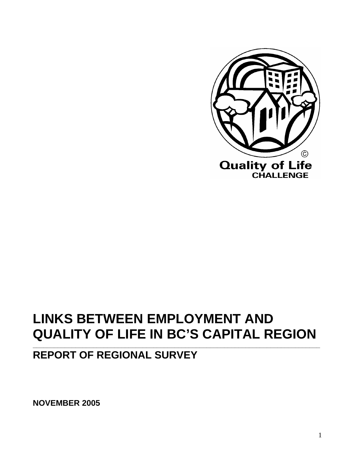

# **LINKS BETWEEN EMPLOYMENT AND QUALITY OF LIFE IN BC'S CAPITAL REGION**

**\_\_\_\_\_\_\_\_\_\_\_\_\_\_\_\_\_\_\_\_\_\_\_\_\_\_\_\_\_\_\_\_\_\_\_\_\_\_\_\_\_\_\_\_\_\_\_\_\_\_\_\_\_\_\_\_\_\_\_\_\_\_\_\_\_\_\_\_\_\_\_\_\_\_\_\_\_\_\_\_\_** 

# **REPORT OF REGIONAL SURVEY**

**NOVEMBER 2005**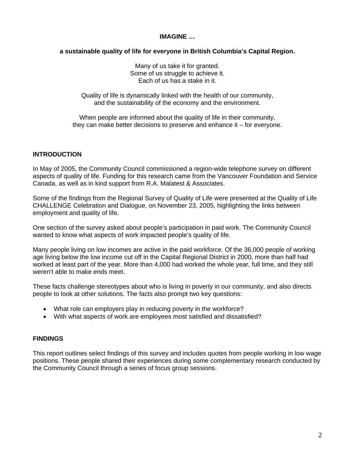#### **IMAGINE …**

# **a sustainable quality of life for everyone in British Columbia's Capital Region.**

Many of us take it for granted. Some of us struggle to achieve it. Each of us has a stake in it.

Quality of life is dynamically linked with the health of our community, and the sustainability of the economy and the environment.

When people are informed about the quality of life in their community, they can make better decisions to preserve and enhance it – for everyone.

# **INTRODUCTION**

In May of 2005, the Community Council commissioned a region-wide telephone survey on different aspects of quality of life. Funding for this research came from the Vancouver Foundation and Service Canada, as well as in kind support from R.A. Malatest & Associates.

Some of the findings from the Regional Survey of Quality of Life were presented at the Quality of Life CHALLENGE Celebration and Dialogue, on November 23, 2005, highlighting the links between employment and quality of life.

One section of the survey asked about people's participation in paid work. The Community Council wanted to know what aspects of work impacted people's quality of life.

Many people living on low incomes are active in the paid workforce. Of the 36,000 people of working age living below the low income cut off in the Capital Regional District in 2000, more than half had worked at least part of the year. More than 4,000 had worked the whole year, full time, and they still weren't able to make ends meet.

These facts challenge stereotypes about who is living in poverty in our community, and also directs people to look at other solutions. The facts also prompt two key questions:

- What role can employers play in reducing poverty in the workforce?
- With what aspects of work are employees most satisfied and dissatisfied?

# **FINDINGS**

This report outlines select findings of this survey and includes quotes from people working in low wage positions. These people shared their experiences during some complementary research conducted by the Community Council through a series of focus group sessions.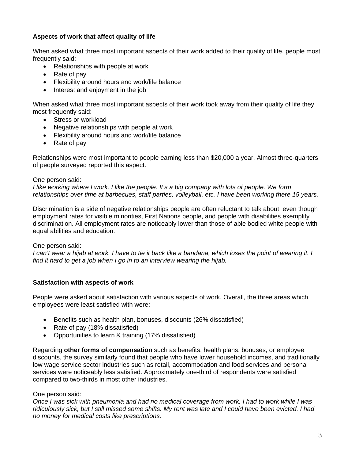# **Aspects of work that affect quality of life**

When asked what three most important aspects of their work added to their quality of life, people most frequently said:

- Relationships with people at work
- Rate of pay
- Flexibility around hours and work/life balance
- Interest and enjoyment in the job

When asked what three most important aspects of their work took away from their quality of life they most frequently said:

- Stress or workload
- Negative relationships with people at work
- Flexibility around hours and work/life balance
- Rate of pay

Relationships were most important to people earning less than \$20,000 a year. Almost three-quarters of people surveyed reported this aspect.

# One person said:

*I like working where I work. I like the people. It's a big company with lots of people. We form relationships over time at barbecues, staff parties, volleyball, etc. I have been working there 15 years.* 

Discrimination is a side of negative relationships people are often reluctant to talk about, even though employment rates for visible minorities, First Nations people, and people with disabilities exemplify discrimination. All employment rates are noticeably lower than those of able bodied white people with equal abilities and education.

# One person said:

*I can't wear a hijab at work. I have to tie it back like a bandana, which loses the point of wearing it. I find it hard to get a job when I go in to an interview wearing the hijab.*

# **Satisfaction with aspects of work**

People were asked about satisfaction with various aspects of work. Overall, the three areas which employees were least satisfied with were:

- Benefits such as health plan, bonuses, discounts (26% dissatisfied)
- Rate of pay (18% dissatisfied)
- Opportunities to learn & training (17% dissatisfied)

Regarding **other forms of compensation** such as benefits, health plans, bonuses, or employee discounts, the survey similarly found that people who have lower household incomes, and traditionally low wage service sector industries such as retail, accommodation and food services and personal services were noticeably less satisfied. Approximately one-third of respondents were satisfied compared to two-thirds in most other industries.

# One person said:

*Once I was sick with pneumonia and had no medical coverage from work. I had to work while I was ridiculously sick, but I still missed some shifts. My rent was late and I could have been evicted. I had no money for medical costs like prescriptions.*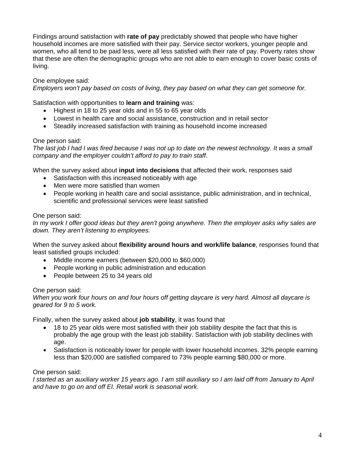Findings around satisfaction with **rate of pay** predictably showed that people who have higher household incomes are more satisfied with their pay. Service sector workers, younger people and women, who all tend to be paid less, were all less satisfied with their rate of pay. Poverty rates show that these are often the demographic groups who are not able to earn enough to cover basic costs of living.

# One employee said:

*Employers won't pay based on costs of living, they pay based on what they can get someone for.*

Satisfaction with opportunities to **learn and training** was:

- Highest in 18 to 25 year olds and in 55 to 65 year olds
- Lowest in health care and social assistance, construction and in retail sector
- Steadily increased satisfaction with training as household income increased

# One person said:

*The last job I had I was fired because I was not up to date on the newest technology. It was a small company and the employer couldn't afford to pay to train staff.* 

When the survey asked about **input into decisions** that affected their work, responses said

- Satisfaction with this increased noticeably with age
- Men were more satisfied than women
- People working in health care and social assistance, public administration, and in technical, scientific and professional services were least satisfied

# One person said:

*In my work I offer good ideas but they aren't going anywhere. Then the employer asks why sales are down. They aren't listening to employees.*

When the survey asked about **flexibility around hours and work/life balance**, responses found that least satisfied groups included:

- Middle income earners (between \$20,000 to \$60,000)
- People working in public administration and education
- People between 25 to 34 years old

# One person said:

*When you work four hours on and four hours off getting daycare is very hard. Almost all daycare is geared for 9 to 5 work.* 

Finally, when the survey asked about **job stability**, it was found that

- 18 to 25 year olds were most satisfied with their job stability despite the fact that this is probably the age group with the least job stability. Satisfaction with job stability declines with age.
- Satisfaction is noticeably lower for people with lower household incomes. 32% people earning less than \$20,000 are satisfied compared to 73% people earning \$80,000 or more.

# One person said:

*I started as an auxiliary worker 15 years ago. I am still auxiliary so I am laid off from January to April and have to go on and off EI. Retail work is seasonal work.*